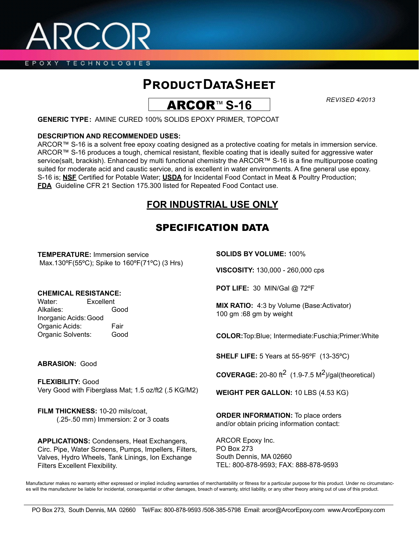EPOXY TECHNOLOGIES

## **Product Data Sheet**

ARCOR™ **S-16**

*REVISED 4/2013*

**GENERIC TYPE:** AMINE CURED 100% SOLIDS EPOXY PRIMER, TOPCOAT

#### **DESCRIPTION AND RECOMMENDED USES:**

ARCOR™ S-16 is a solvent free epoxy coating designed as a protective coating for metals in immersion service. ARCOR™ S-16 produces a tough, chemical resistant, flexible coating that is ideally suited for aggressive water service(salt, brackish). Enhanced by multi functional chemistry the ARCOR™ S-16 is a fine multipurpose coating suited for moderate acid and caustic service, and is excellent in water environments. A fine general use epoxy. S-16 is; **NSF** Certified for Potable Water; **USDA** for Incidental Food Contact in Meat & Poultry Production; **FDA** Guideline CFR 21 Section 175.300 listed for Repeated Food Contact use.

## **FOR INDUSTRIAL USE ONLY**

## SPECIFICATION DATA

**TEMPERATURE:** Immersion service Max.130ºF(55ºC); Spike to 160ºF(71ºC) (3 Hrs)

### **CHEMICAL RESISTANCE:**

Alkalies: Good Inorganic Acids:Good Organic Acids: Fair Organic Solvents: Good **SOLIDS BY VOLUME:** 100%

**VISCOSITY:** 130,000 - 260,000 cps

**POT LIFE:** 30 MIN/Gal @ 72ºF

**MIX RATIO:** 4:3 by Volume (Base:Activator) 100 gm :68 gm by weight

**COLOR:**Top:Blue; Intermediate:Fuschia;Primer:White

**SHELF LIFE:** 5 Years at 55-95ºF (13-35ºC)

**COVERAGE:** 20-80 ft<sup>2</sup> (1.9-7.5  $M^2$ )/gal(theoretical)

**WEIGHT PER GALLON:** 10 LBS (4.53 KG)

**ORDER INFORMATION:** To place orders and/or obtain pricing information contact:

ARCOR Epoxy Inc. PO Box 273 South Dennis, MA 02660 TEL: 800-878-9593; FAX: 888-878-9593

Manufacturer makes no warranty either expressed or implied including warranties of merchantability or fitness for a particular purpose for this product. Under no circumstances will the manufacturer be liable for incidental, consequential or other damages, breach of warranty, strict liability, or any other theory arising out of use of this product.

# Water: Excellent

**ABRASION:** Good

**FLEXIBILITY:** Good Very Good with Fiberglass Mat; 1.5 oz/ft2 (.5 KG/M2)

**FILM THICKNESS:** 10-20 mils/coat, (.25-.50 mm) Immersion: 2 or 3 coats

**APPLICATIONS:** Condensers, Heat Exchangers, Circ. Pipe, Water Screens, Pumps, Impellers, Filters, Valves, Hydro Wheels, Tank Linings, Ion Exchange Filters Excellent Flexibility.